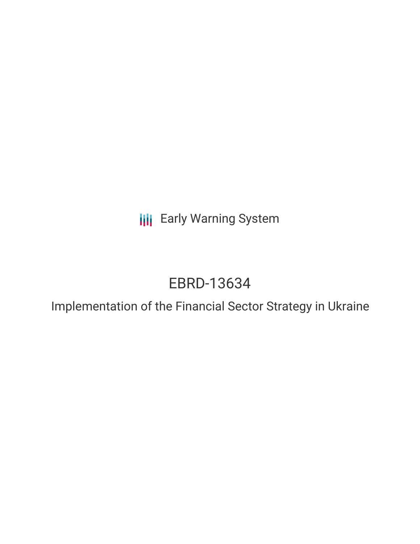**III** Early Warning System

# EBRD-13634

Implementation of the Financial Sector Strategy in Ukraine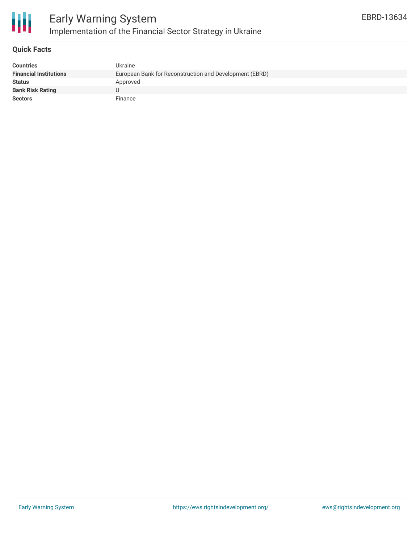

### **Quick Facts**

| <b>Countries</b>              | Ukraine                                                 |
|-------------------------------|---------------------------------------------------------|
| <b>Financial Institutions</b> | European Bank for Reconstruction and Development (EBRD) |
| <b>Status</b>                 | Approved                                                |
| <b>Bank Risk Rating</b>       |                                                         |
| <b>Sectors</b>                | Finance                                                 |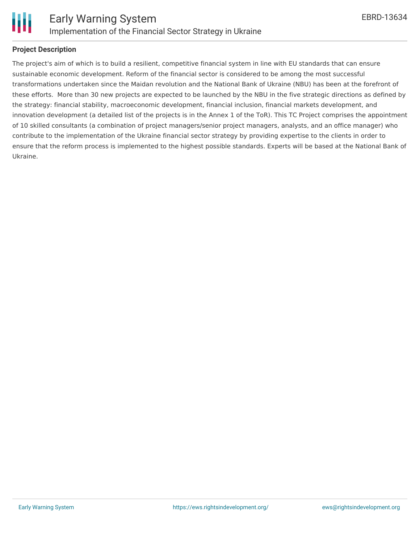

### **Project Description**

The project's aim of which is to build a resilient, competitive financial system in line with EU standards that can ensure sustainable economic development. Reform of the financial sector is considered to be among the most successful transformations undertaken since the Maidan revolution and the National Bank of Ukraine (NBU) has been at the forefront of these efforts. More than 30 new projects are expected to be launched by the NBU in the five strategic directions as defined by the strategy: financial stability, macroeconomic development, financial inclusion, financial markets development, and innovation development (a detailed list of the projects is in the Annex 1 of the ToR). This TC Project comprises the appointment of 10 skilled consultants (a combination of project managers/senior project managers, analysts, and an office manager) who contribute to the implementation of the Ukraine financial sector strategy by providing expertise to the clients in order to ensure that the reform process is implemented to the highest possible standards. Experts will be based at the National Bank of Ukraine.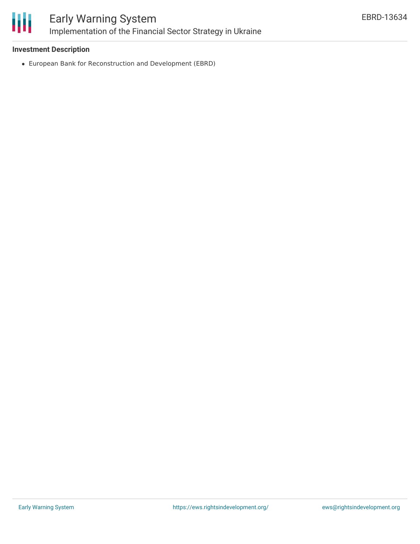

## Early Warning System Implementation of the Financial Sector Strategy in Ukraine

### **Investment Description**

European Bank for Reconstruction and Development (EBRD)